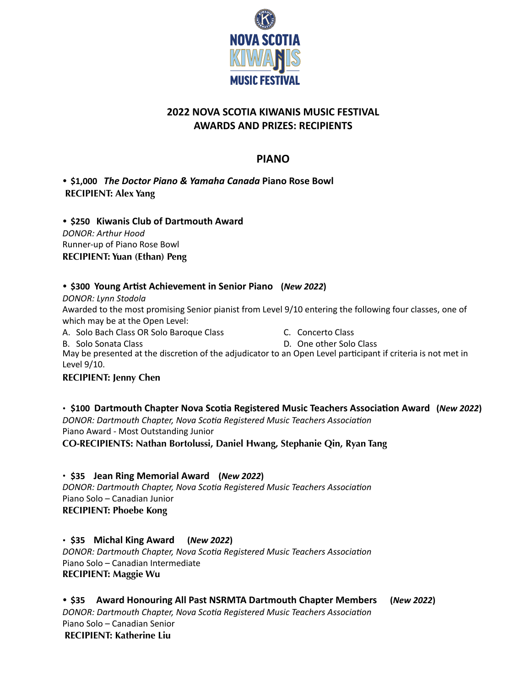

# **2022 NOVA SCOTIA KIWANIS MUSIC FESTIVAL AWARDS AND PRIZES: RECIPIENTS**

# **PIANO**

• **\$1,000** *The Doctor Piano & Yamaha Canada* **Piano Rose Bowl RECIPIENT: Alex Yang** 

• **\$250 Kiwanis Club of Dartmouth Award** *DONOR: Arthur Hood* Runner-up of Piano Rose Bowl **RECIPIENT: Yuan (Ethan) Peng** 

# • \$300 Young Artist Achievement in Senior Piano (*New 2022*)

*DONOR: Lynn Stodola*

Awarded to the most promising Senior pianist from Level 9/10 entering the following four classes, one of which may be at the Open Level:

A. Solo Bach Class OR Solo Baroque Class

C. Concerto Class

B. Solo Sonata Class D. One other Solo Class May be presented at the discretion of the adjudicator to an Open Level participant if criteria is not met in Level 9/10.

## **RECIPIENT: Jenny Chen**

• \$100 Dartmouth Chapter Nova Scotia Registered Music Teachers Association Award (*New 2022*) **DONOR: Dartmouth Chapter, Nova Scotia Registered Music Teachers Association** Piano Award - Most Outstanding Junior **CO***-***RECIPIENTS: Nathan Bortolussi, Daniel Hwang, Stephanie Qin, Ryan Tang** 

• **\$35 Jean Ring Memorial Award (***New 2022***) DONOR: Dartmouth Chapter, Nova Scotia Registered Music Teachers Association** Piano Solo – Canadian Junior **RECIPIENT: Phoebe Kong** 

• **\$35 Michal King Award (***New 2022***)**  *DONOR: Dartmouth Chapter, Nova Scotia Registered Music Teachers Association*<br>Piano Solo – Canadian Intermediate **RECIPIENT: Maggie Wu** 

# • **\$35 Award Honouring All Past NSRMTA Dartmouth Chapter Members (***New 2022***)**

**DONOR: Dartmouth Chapter, Nova Scotia Registered Music Teachers Association** Piano Solo – Canadian Senior **RECIPIENT: Katherine Liu**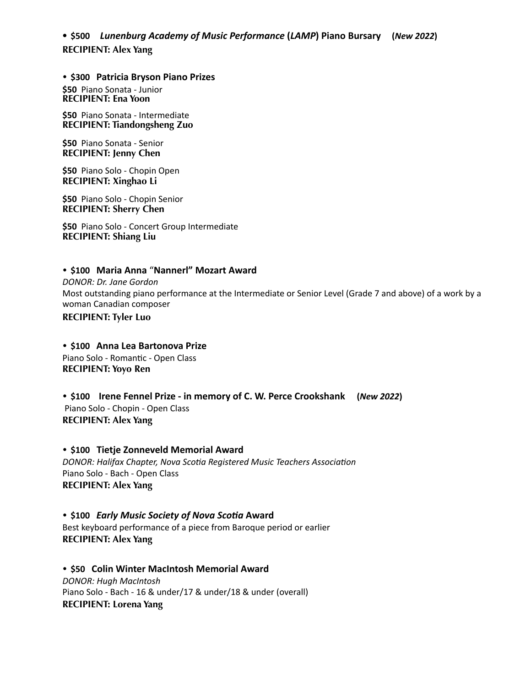**• \$500** *Lunenburg Academy of Music Performance* **(***LAMP***) Piano Bursary (***New 2022***) RECIPIENT: Alex Yang** 

• **\$300 Patricia Bryson Piano Prizes \$50** Piano Sonata - Junior **RECIPIENT: Ena Yoon** 

**\$50** Piano Sonata - Intermediate **RECIPIENT: Tiandongsheng Zuo** 

**\$50** Piano Sonata - Senior **RECIPIENT: Jenny Chen** 

**\$50** Piano Solo - Chopin Open **RECIPIENT: Xinghao Li** 

**\$50** Piano Solo - Chopin Senior **RECIPIENT: Sherry Chen** 

 **\$50** Piano Solo - Concert Group Intermediate **RECIPIENT: Shiang Liu** 

## • **\$100 Maria Anna** "**Nannerl" Mozart Award**

*DONOR: Dr. Jane Gordon* Most outstanding piano performance at the Intermediate or Senior Level (Grade 7 and above) of a work by a woman Canadian composer **RECIPIENT: Tyler Luo** 

• **\$100 Anna Lea Bartonova Prize** Piano Solo - Romantic - Open Class **RECIPIENT: Yoyo Ren**

• **\$100 Irene Fennel Prize - in memory of C. W. Perce Crookshank (***New 2022***)**  Piano Solo - Chopin - Open Class **RECIPIENT: Alex Yang**

• **\$100 Tietje Zonneveld Memorial Award DONOR: Halifax Chapter, Nova Scotia Registered Music Teachers Association** Piano Solo - Bach - Open Class **RECIPIENT: Alex Yang** 

• \$100 *Early Music Society of Nova Scotia Award* Best keyboard performance of a piece from Baroque period or earlier **RECIPIENT: Alex Yang** 

• **\$50 Colin Winter MacIntosh Memorial Award** *DONOR: Hugh MacIntosh* Piano Solo - Bach - 16 & under/17 & under/18 & under (overall) **RECIPIENT: Lorena Yang**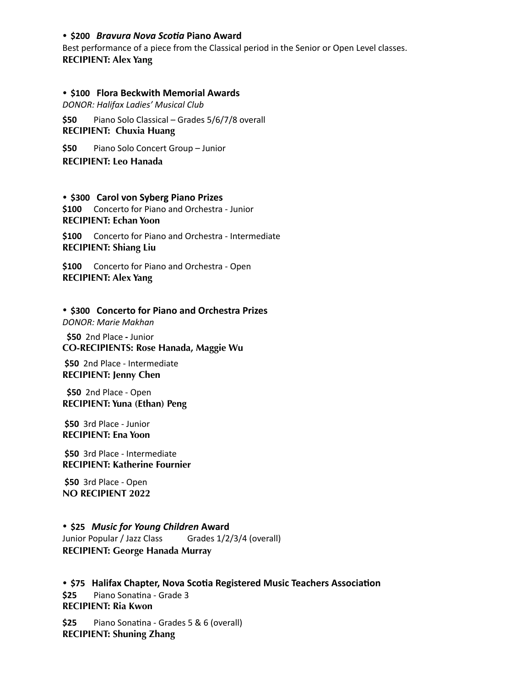### • **\$200** *Bravura Nova ScoEa* **Piano Award**

Best performance of a piece from the Classical period in the Senior or Open Level classes. **RECIPIENT: Alex Yang**

#### • **\$100 Flora Beckwith Memorial Awards**

*DONOR: Halifax Ladies' Musical Club* 

**\$50** Piano Solo Classical – Grades 5/6/7/8 overall **RECIPIENT: Chuxia Huang**

**\$50** Piano Solo Concert Group – Junior **RECIPIENT: Leo Hanada**

#### • **\$300 Carol von Syberg Piano Prizes**

**\$100** Concerto for Piano and Orchestra - Junior **RECIPIENT: Echan Yoon** 

**\$100** Concerto for Piano and Orchestra - Intermediate **RECIPIENT: Shiang Liu**

**\$100** Concerto for Piano and Orchestra - Open **RECIPIENT: Alex Yang**

#### • **\$300 Concerto for Piano and Orchestra Prizes**

*DONOR: Marie Makhan*

 **\$50** 2nd Place **-** Junior **CO-RECIPIENTS: Rose Hanada, Maggie Wu** 

**\$50** 2nd Place - Intermediate **RECIPIENT: Jenny Chen** 

 **\$50** 2nd Place - Open **RECIPIENT: Yuna (Ethan) Peng** 

**\$50** 3rd Place - Junior **RECIPIENT: Ena Yoon** 

 **\$50** 3rd Place - Intermediate **RECIPIENT: Katherine Fournier**

 **\$50** 3rd Place - Open **NO RECIPIENT 2022** 

## • **\$25** *Music for Young Children* **Award**  Junior Popular / Jazz Class Grades 1/2/3/4 (overall) **RECIPIENT: George Hanada Murray**

• \$75 Halifax Chapter, Nova Scotia Registered Music Teachers Association **\$25** Piano Sonatina - Grade 3 **RECIPIENT: Ria Kwon** 

\$25 Piano Sonatina - Grades 5 & 6 (overall) **RECIPIENT: Shuning Zhang**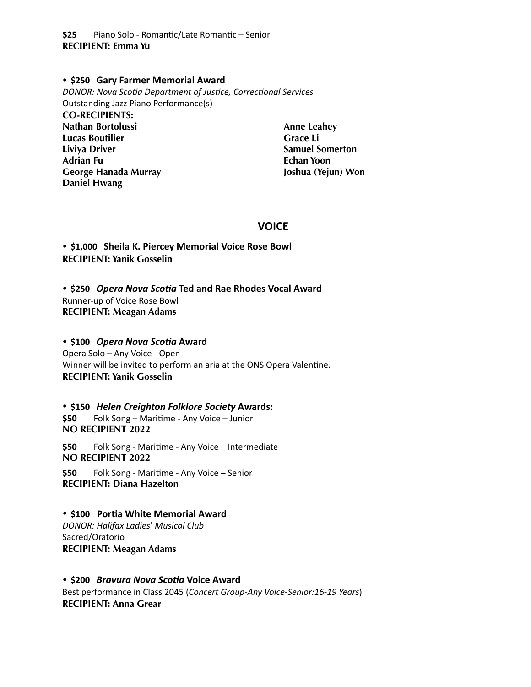\$25 Piano Solo - Romantic/Late Romantic – Senior **RECIPIENT: Emma Yu** 

#### • **\$250 Gary Farmer Memorial Award**

**DONOR: Nova Scotia Department of Justice, Correctional Services** Outstanding Jazz Piano Performance(s) **CO-RECIPIENTS: Nathan Bortolussi Lucas Boutilier Liviya Driver Adrian Fu George Hanada Murray Daniel Hwang Anne Leahey Grace Li Samuel Somerton** 

# **Echan Yoon Joshua (Yejun) Won**

# **VOICE**

• **\$1,000 Sheila K. Piercey Memorial Voice Rose Bowl RECIPIENT: Yanik Gosselin**

• \$250 Opera Nova Scotia Ted and Rae Rhodes Vocal Award Runner-up of Voice Rose Bowl **RECIPIENT: Meagan Adams** 

## $\cdot$  \$100 Opera Nova Scotia Award

Opera Solo – Any Voice - Open Winner will be invited to perform an aria at the ONS Opera Valentine. **RECIPIENT: Yanik Gosselin**

• **\$150** *Helen Creighton Folklore Society* **Awards:**  \$50 Folk Song – Maritime - Any Voice – Junior **NO RECIPIENT 2022**

\$50 Folk Song - Maritime - Any Voice – Intermediate<br>NO RECIPIENT 2022

\$50 Folk Song - Maritime - Any Voice – Senior **RECIPIENT: Diana Hazelton**

# • \$100 Portia White Memorial Award

*DONOR: Halifax Ladies*' *Musical Club* Sacred/Oratorio **RECIPIENT: Meagan Adams**

## • **\$200** *Bravura Nova ScoEa* **Voice Award** Best performance in Class 2045 (*Concert Group-Any Voice-Senior:16-19 Years*) **RECIPIENT: Anna Grear**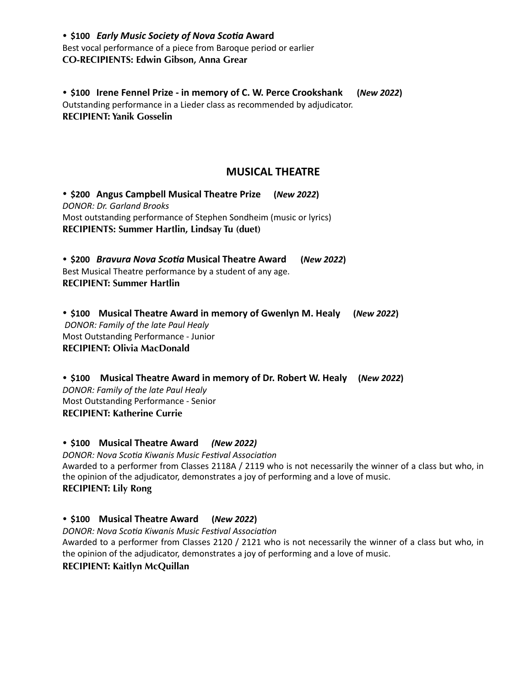• \$100 *Early Music Society of Nova Scotia Award* Best vocal performance of a piece from Baroque period or earlier **CO-RECIPIENTS: Edwin Gibson, Anna Grear** 

• **\$100 Irene Fennel Prize - in memory of C. W. Perce Crookshank (***New 2022***)**  Outstanding performance in a Lieder class as recommended by adjudicator. **RECIPIENT: Yanik Gosselin**

# **MUSICAL THEATRE**

• **\$200 Angus Campbell Musical Theatre Prize (***New 2022***)**  *DONOR: Dr. Garland Brooks* Most outstanding performance of Stephen Sondheim (music or lyrics) **RECIPIENTS: Summer Hartlin, Lindsay Tu (duet)** 

• \$200 *Bravura Nova Scotia* Musical Theatre Award (*New 2022*) Best Musical Theatre performance by a student of any age. **RECIPIENT: Summer Hartlin** 

• **\$100 Musical Theatre Award in memory of Gwenlyn M. Healy (***New 2022***)**   *DONOR: Family of the late Paul Healy* Most Outstanding Performance - Junior **RECIPIENT: Olivia MacDonald** 

• **\$100 Musical Theatre Award in memory of Dr. Robert W. Healy (***New 2022***)**  *DONOR: Family of the late Paul Healy*  Most Outstanding Performance - Senior **RECIPIENT: Katherine Currie**

• **\$100 Musical Theatre Award** *(New 2022)*

*DONOR: Nova Scotia Kiwanis Music Festival Association* Awarded to a performer from Classes 2118A / 2119 who is not necessarily the winner of a class but who, in the opinion of the adjudicator, demonstrates a joy of performing and a love of music. **RECIPIENT: Lily Rong** 

• **\$100 Musical Theatre Award (***New 2022***)** 

*DONOR: Nova Scotia Kiwanis Music Festival Association* 

Awarded to a performer from Classes 2120 / 2121 who is not necessarily the winner of a class but who, in the opinion of the adjudicator, demonstrates a joy of performing and a love of music.

**RECIPIENT: Kaitlyn McQuillan**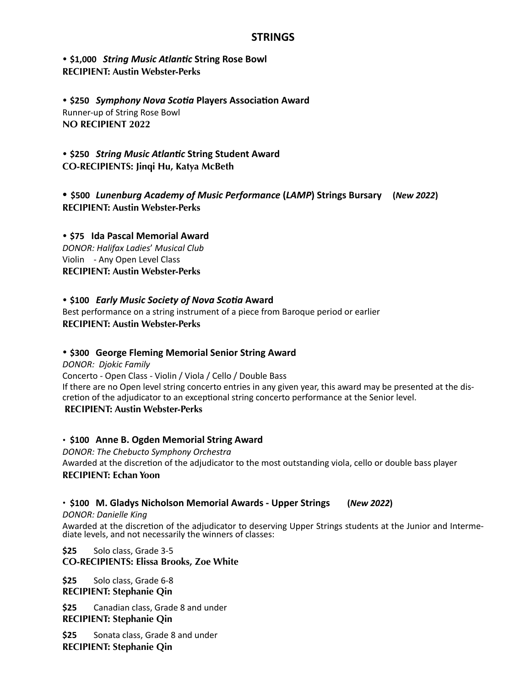# **STRINGS**

• \$1,000 *String Music Atlantic String Rose Bowl* **RECIPIENT: Austin Webster-Perks**

• \$250 *Symphony Nova Scotia Players Association Award* Runner-up of String Rose Bowl **NO RECIPIENT 2022**

• \$250 *String Music Atlantic String Student Award* **CO-RECIPIENTS: Jinqi Hu, Katya McBeth** 

**• \$500** *Lunenburg Academy of Music Performance* **(***LAMP***) Strings Bursary (***New 2022***) RECIPIENT: Austin Webster-Perks** 

• **\$75 Ida Pascal Memorial Award** *DONOR: Halifax Ladies*' *Musical Club* Violin - Any Open Level Class **RECIPIENT: Austin Webster-Perks**

## • \$100 *Early Music Society of Nova Scotia Award*

Best performance on a string instrument of a piece from Baroque period or earlier **RECIPIENT: Austin Webster-Perks**

## • **\$300 George Fleming Memorial Senior String Award**

*DONOR: Djokic Family* Concerto - Open Class - Violin / Viola / Cello / Double Bass If there are no Open level string concerto entries in any given year, this award may be presented at the discretion of the adjudicator to an exceptional string concerto performance at the Senior level. **RECIPIENT: Austin Webster-Perks**

### • **\$100 Anne B. Ogden Memorial String Award**

*DONOR: The Chebucto Symphony Orchestra* Awarded at the discretion of the adjudicator to the most outstanding viola, cello or double bass player **RECIPIENT: Echan Yoon**

## • **\$100 M. Gladys Nicholson Memorial Awards - Upper Strings (***New 2022***)**

*DONOR: Danielle King* 

Awarded at the discretion of the adjudicator to deserving Upper Strings students at the Junior and Interme-<br>diate levels, and not necessarily the winners of classes:

**\$25** Solo class, Grade 3-5 **CO-RECIPIENTS: Elissa Brooks, Zoe White** 

**\$25** Solo class, Grade 6-8 **RECIPIENT: Stephanie Qin**

**\$25** Canadian class, Grade 8 and under **RECIPIENT: Stephanie Qin**

**\$25** Sonata class, Grade 8 and under **RECIPIENT: Stephanie Qin**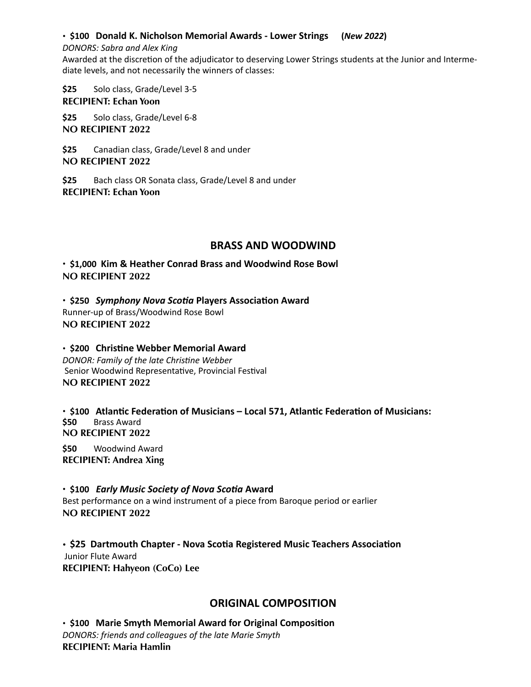## • **\$100 Donald K. Nicholson Memorial Awards - Lower Strings (***New 2022***)**

#### *DONORS: Sabra and Alex King*

Awarded at the discretion of the adjudicator to deserving Lower Strings students at the Junior and Intermediate levels, and not necessarily the winners of classes:

**\$25** Solo class, Grade/Level 3-5 **RECIPIENT: Echan Yoon**

**\$25** Solo class, Grade/Level 6-8 **NO RECIPIENT 2022**

**\$25** Canadian class, Grade/Level 8 and under **NO RECIPIENT 2022** 

**\$25** Bach class OR Sonata class, Grade/Level 8 and under **RECIPIENT: Echan Yoon** 

# **BRASS AND WOODWIND**

• **\$1,000 Kim & Heather Conrad Brass and Woodwind Rose Bowl NO RECIPIENT 2022**

 $\cdot$  \$250 Symphony Nova Scotia Players Association Award Runner-up of Brass/Woodwind Rose Bowl **NO RECIPIENT 2022**

 $\cdot$  \$200 Christine Webber Memorial Award *DONOR: Family of the late Christine Webber* Senior Woodwind Representative, Provincial Festival **NO RECIPIENT 2022** 

• \$100 Atlantic Federation of Musicians – Local 571, Atlantic Federation of Musicians: **\$50** Brass Award **NO RECIPIENT 2022** 

**\$50** Woodwind Award **RECIPIENT: Andrea Xing**

• \$100 *Early Music Society of Nova Scotia Award* Best performance on a wind instrument of a piece from Baroque period or earlier **NO RECIPIENT 2022** 

**• \$25 Dartmouth Chapter - Nova Scotia Registered Music Teachers Association**  Junior Flute Award **RECIPIENT: Hahyeon (CoCo) Lee** 

# **ORIGINAL COMPOSITION**

• \$100 Marie Smyth Memorial Award for Original Composition *DONORS: friends and colleagues of the late Marie Smyth*  **RECIPIENT: Maria Hamlin**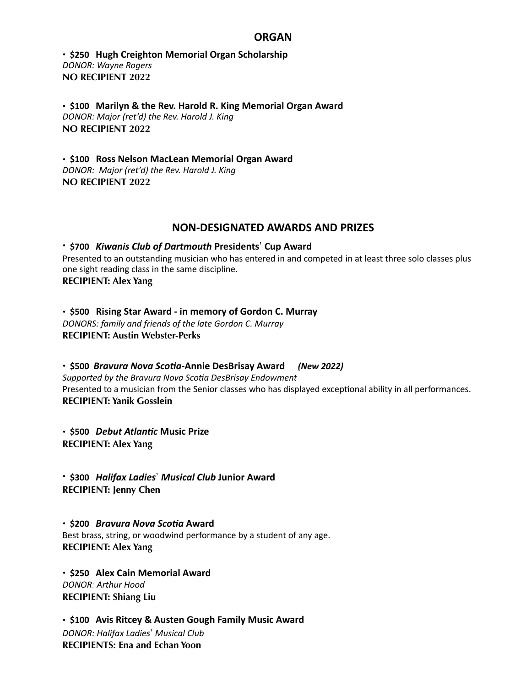## **ORGAN**

• **\$250 Hugh Creighton Memorial Organ Scholarship** *DONOR: Wayne Rogers* **NO RECIPIENT 2022**

• **\$100 Marilyn & the Rev. Harold R. King Memorial Organ Award**  *DONOR: Major (ret'd) the Rev. Harold J. King*  **NO RECIPIENT 2022**

• **\$100 Ross Nelson MacLean Memorial Organ Award**  *DONOR: Major (ret'd) the Rev. Harold J. King*  **NO RECIPIENT 2022** 

# **NON-DESIGNATED AWARDS AND PRIZES**

• **\$700** *Kiwanis Club of Dartmouth* **Presidents**! **Cup Award** Presented to an outstanding musician who has entered in and competed in at least three solo classes plus one sight reading class in the same discipline. **RECIPIENT: Alex Yang**

• **\$500 Rising Star Award - in memory of Gordon C. Murray** *DONORS: family and friends of the late Gordon C. Murray*  **RECIPIENT: Austin Webster-Perks**

• **\$500** *Bravura Nova ScoEa***-Annie DesBrisay Award** *(New 2022)*  **Supported by the Bravura Nova Scotia DesBrisay Endowment** Presented to a musician from the Senior classes who has displayed exceptional ability in all performances. **RECIPIENT: Yanik Gosslein**

• \$500 *Debut Atlantic* Music Prize **RECIPIENT: Alex Yang**

• **\$300** *Halifax Ladies*! *Musical Club* **Junior Award RECIPIENT: Jenny Chen** 

• **\$200** *Bravura Nova ScoEa* **Award**  Best brass, string, or woodwind performance by a student of any age. **RECIPIENT: Alex Yang**

• **\$250 Alex Cain Memorial Award** *DONOR: Arthur Hood*  **RECIPIENT: Shiang Liu** 

• **\$100 Avis Ritcey & Austen Gough Family Music Award** *DONOR: Halifax Ladies*! *Musical Club* **RECIPIENTS: Ena and Echan Yoon**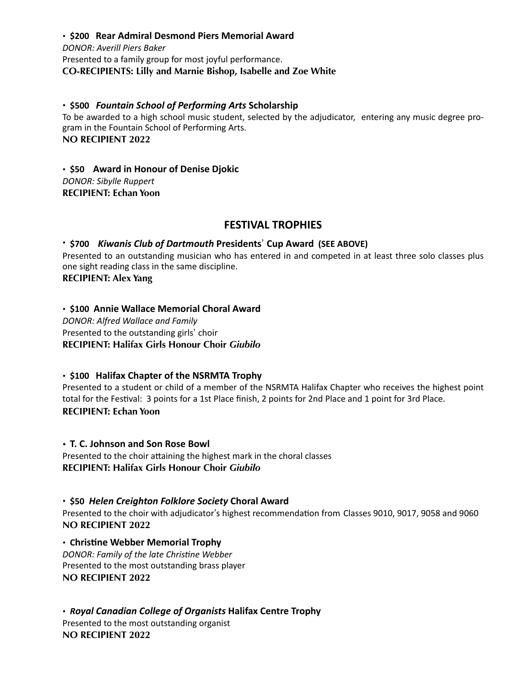• **\$200 Rear Admiral Desmond Piers Memorial Award** *DONOR: Averill Piers Baker* Presented to a family group for most joyful performance. **CO-RECIPIENTS: Lilly and Marnie Bishop, Isabelle and Zoe White** 

• **\$500** *Fountain School of Performing Arts* **Scholarship**  To be awarded to a high school music student, selected by the adjudicator, entering any music degree program in the Fountain School of Performing Arts. **NO RECIPIENT 2022** 

• **\$50 Award in Honour of Denise Djokic**  *DONOR: Sibylle Ruppert*  **RECIPIENT: Echan Yoon**

# **FESTIVAL TROPHIES**

### • **\$700** *Kiwanis Club of Dartmouth* **Presidents**! **Cup Award (SEE ABOVE)**

Presented to an outstanding musician who has entered in and competed in at least three solo classes plus one sight reading class in the same discipline.

**RECIPIENT: Alex Yang** 

• **\$100 Annie Wallace Memorial Choral Award** *DONOR: Alfred Wallace and Family* Presented to the outstanding girls' choir **RECIPIENT: Halifax Girls Honour Choir** *Giubilo*

• **\$100 Halifax Chapter of the NSRMTA Trophy** 

Presented to a student or child of a member of the NSRMTA Halifax Chapter who receives the highest point total for the Festival: 3 points for a 1st Place finish, 2 points for 2nd Place and 1 point for 3rd Place. **RECIPIENT: Echan Yoon**

• **T. C. Johnson and Son Rose Bowl**  Presented to the choir attaining the highest mark in the choral classes **RECIPIENT: Halifax Girls Honour Choir** *Giubilo* 

• **\$50** *Helen Creighton Folklore Society* **Choral Award** Presented to the choir with adjudicator's highest recommendation from Classes 9010, 9017, 9058 and 9060 **NO RECIPIENT 2022** 

**• Christine Webber Memorial Trophy** *DONOR: Family of the late Christine Webber* Presented to the most outstanding brass player **NO RECIPIENT 2022**

• *Royal Canadian College of Organists* **Halifax Centre Trophy**  Presented to the most outstanding organist **NO RECIPIENT 2022**